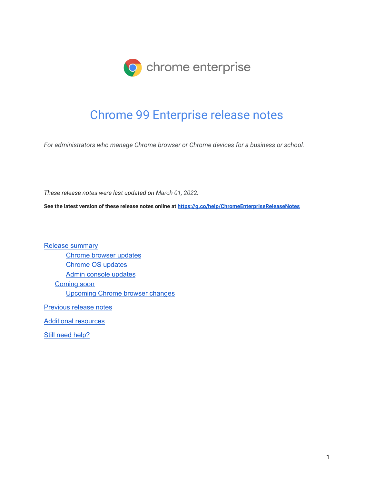

# Chrome 99 Enterprise release notes

*For administrators who manage Chrome browser or Chrome devices for a business or school.*

*These release notes were last updated on March 01, 2022.*

**See the latest version of these release notes online at <https://g.co/help/ChromeEnterpriseReleaseNotes>**

Release [summary](#page-1-0) [Chrome](#page-3-0) browser updates [Chrome](#page-5-0) OS updates Admin console [updates](#page-6-0) [Coming](#page-8-0) soon [Upcoming](#page-8-1) Chrome browser changes

[Previous](#page-16-0) release notes

[Additional](#page-16-1) resources

Still need [help?](#page-17-0)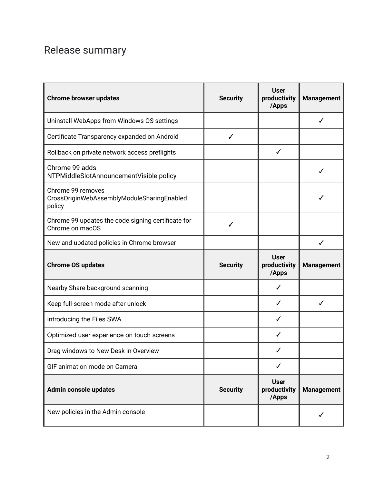# <span id="page-1-0"></span>Release summary

| <b>Chrome browser updates</b>                                             | <b>Security</b> | <b>User</b><br>productivity<br>/Apps | <b>Management</b> |
|---------------------------------------------------------------------------|-----------------|--------------------------------------|-------------------|
| Uninstall WebApps from Windows OS settings                                |                 |                                      | ✓                 |
| Certificate Transparency expanded on Android                              | $\checkmark$    |                                      |                   |
| Rollback on private network access preflights                             |                 | ✓                                    |                   |
| Chrome 99 adds<br>NTPMiddleSlotAnnouncementVisible policy                 |                 |                                      |                   |
| Chrome 99 removes<br>CrossOriginWebAssemblyModuleSharingEnabled<br>policy |                 |                                      |                   |
| Chrome 99 updates the code signing certificate for<br>Chrome on macOS     | ✓               |                                      |                   |
| New and updated policies in Chrome browser                                |                 |                                      | ✓                 |
| <b>Chrome OS updates</b>                                                  | <b>Security</b> | <b>User</b><br>productivity<br>/Apps | <b>Management</b> |
| Nearby Share background scanning                                          |                 | ✓                                    |                   |
| Keep full-screen mode after unlock                                        |                 | ✓                                    | ✓                 |
| Introducing the Files SWA                                                 |                 | ✓                                    |                   |
| Optimized user experience on touch screens                                |                 | ✓                                    |                   |
| Drag windows to New Desk in Overview                                      |                 |                                      |                   |
| GIF animation mode on Camera                                              |                 | ✓                                    |                   |
| Admin console updates                                                     | <b>Security</b> | <b>User</b><br>productivity<br>/Apps | <b>Management</b> |
| New policies in the Admin console                                         |                 |                                      |                   |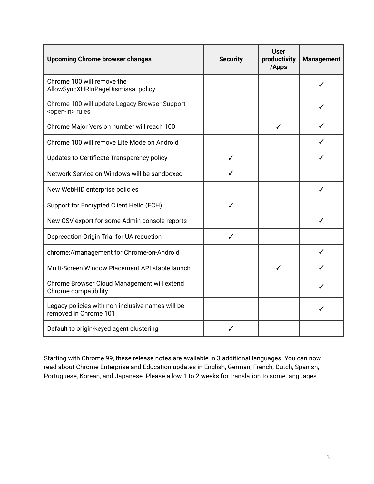| <b>Upcoming Chrome browser changes</b>                                     | <b>Security</b> | User<br>productivity<br>/Apps | <b>Management</b> |
|----------------------------------------------------------------------------|-----------------|-------------------------------|-------------------|
| Chrome 100 will remove the<br>AllowSyncXHRInPageDismissal policy           |                 |                               |                   |
| Chrome 100 will update Legacy Browser Support<br><open-in> rules</open-in> |                 |                               |                   |
| Chrome Major Version number will reach 100                                 |                 | ✓                             |                   |
| Chrome 100 will remove Lite Mode on Android                                |                 |                               |                   |
| Updates to Certificate Transparency policy                                 | ✓               |                               |                   |
| Network Service on Windows will be sandboxed                               |                 |                               |                   |
| New WebHID enterprise policies                                             |                 |                               |                   |
| Support for Encrypted Client Hello (ECH)                                   | ✓               |                               |                   |
| New CSV export for some Admin console reports                              |                 |                               |                   |
| Deprecation Origin Trial for UA reduction                                  | ✓               |                               |                   |
| chrome://management for Chrome-on-Android                                  |                 |                               |                   |
| Multi-Screen Window Placement API stable launch                            |                 | ✓                             |                   |
| Chrome Browser Cloud Management will extend<br>Chrome compatibility        |                 |                               |                   |
| Legacy policies with non-inclusive names will be<br>removed in Chrome 101  |                 |                               |                   |
| Default to origin-keyed agent clustering                                   |                 |                               |                   |

Starting with Chrome 99, these release notes are available in 3 additional languages. You can now read about Chrome Enterprise and Education updates in English, German, French, Dutch, Spanish, Portuguese, Korean, and Japanese. Please allow 1 to 2 weeks for translation to some languages.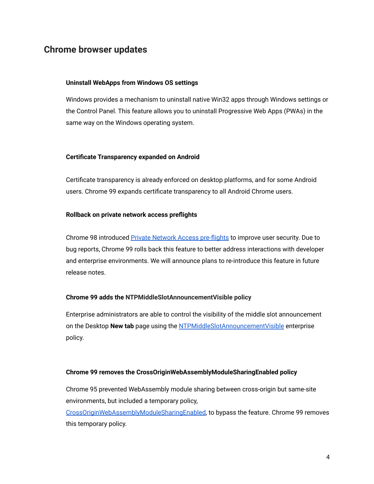# <span id="page-3-0"></span>**Chrome browser updates**

### **Uninstall WebApps from Windows OS settings**

Windows provides a mechanism to uninstall native Win32 apps through Windows settings or the Control Panel. This feature allows you to uninstall Progressive Web Apps (PWAs) in the same way on the Windows operating system.

#### **Certificate Transparency expanded on Android**

Certificate transparency is already enforced on desktop platforms, and for some Android users. Chrome 99 expands certificate transparency to all Android Chrome users.

#### **Rollback on private network access preflights**

Chrome 98 introduced [Private Network Access pre-flights](https://developer.chrome.com/blog/private-network-access-preflight/) to improve user security. Due to bug reports, Chrome 99 rolls back this feature to better address interactions with developer and enterprise environments. We will announce plans to re-introduce this feature in future release notes.

### **Chrome 99 adds the NTPMiddleSlotAnnouncementVisible policy**

Enterprise administrators are able to control the visibility of the middle slot announcement on the Desktop **New tab** page using the [NTPMiddleSlotAnnouncementVisible](https://chromeenterprise.google/policies/#NTPMiddleSlotAnnouncementVisible) enterprise policy.

#### **Chrome 99 removes the CrossOriginWebAssemblyModuleSharingEnabled policy**

Chrome 95 prevented WebAssembly module sharing between cross-origin but same-site environments, but included a temporary policy,

[CrossOriginWebAssemblyModuleSharingEnabled,](https://chromeenterprise.google/policies/#CrossOriginWebAssemblyModuleSharingEnabled) to bypass the feature. Chrome 99 removes this temporary policy.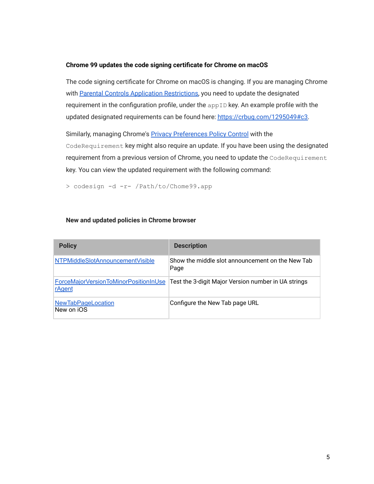## **Chrome 99 updates the code signing certificate for Chrome on macOS**

The code signing certificate for Chrome on macOS is changing. If you are managing Chrome with [Parental Controls Application Restrictions,](https://developer.apple.com/documentation/devicemanagement/parentalcontrolsapplicationrestrictions?language=objc) you need to update the designated requirement in the configuration profile, under the  $appID$  key. An example profile with the updated designated requirements can be found here: [https://crbug.com/1295049#c3.](https://crbug.com/1295049#c3)

Similarly, managing Chrome's [Privacy Preferences Policy](https://developer.apple.com/documentation/devicemanagement/privacypreferencespolicycontrol?language=objc) Control with the CodeRequirement key might also require an update. If you have been using the designated requirement from a previous version of Chrome, you need to update the CodeRequirement key. You can view the updated requirement with the following command:

> codesign -d -r- /Path/to/Chome99.app

## **New and updated policies in Chrome browser**

| <b>Policy</b>                                          | <b>Description</b>                                       |
|--------------------------------------------------------|----------------------------------------------------------|
| NTPMiddleSlotAnnouncementVisible                       | Show the middle slot announcement on the New Tab<br>Page |
| <b>ForceMajorVersionToMinorPositionInUse</b><br>rAgent | Test the 3-digit Major Version number in UA strings      |
| <b>NewTabPageLocation</b><br>New on iOS                | Configure the New Tab page URL                           |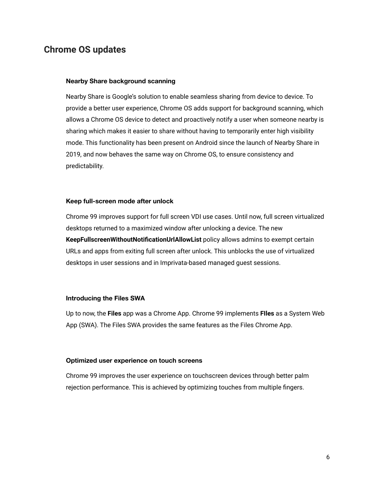# <span id="page-5-0"></span>**Chrome OS updates**

#### **Nearby Share background scanning**

Nearby Share is Google's solution to enable seamless sharing from device to device. To provide a better user experience, Chrome OS adds support for background scanning, which allows a Chrome OS device to detect and proactively notify a user when someone nearby is sharing which makes it easier to share without having to temporarily enter high visibility mode. This functionality has been present on Android since the launch of Nearby Share in 2019, and now behaves the same way on Chrome OS, to ensure consistency and predictability.

#### **Keep full-screen mode after unlock**

Chrome 99 improves support for full screen VDI use cases. Until now, full screen virtualized desktops returned to a maximized window after unlocking a device. The new **KeepFullscreenWithoutNotificationUrlAllowList** policy allows admins to exempt certain URLs and apps from exiting full screen after unlock. This unblocks the use of virtualized desktops in user sessions and in Imprivata-based managed guest sessions.

#### **Introducing the Files SWA**

Up to now, the **Files** app was a Chrome App. Chrome 99 implements **FIles** as a System Web App (SWA). The Files SWA provides the same features as the Files Chrome App.

#### **Optimized user experience on touch screens**

Chrome 99 improves the user experience on touchscreen devices through better palm rejection performance. This is achieved by optimizing touches from multiple fingers.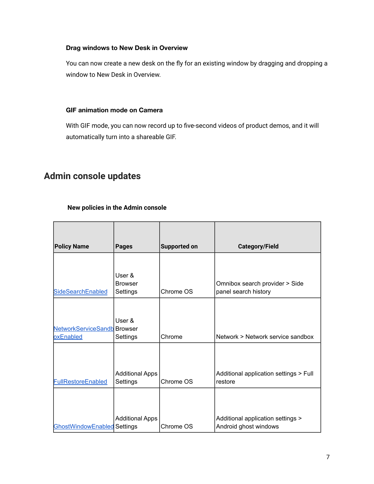# **Drag windows to New Desk in Overview**

You can now create a new desk on the fly for an existing window by dragging and dropping a window to New Desk in Overview.

## **GIF animation mode on Camera**

With GIF mode, you can now record up to five-second videos of product demos, and it will automatically turn into a shareable GIF.

# <span id="page-6-0"></span>**Admin console updates**

# **New policies in the Admin console**

| <b>Policy Name</b>                 | <b>Pages</b>               | Supported on | <b>Category/Field</b>                                  |
|------------------------------------|----------------------------|--------------|--------------------------------------------------------|
|                                    |                            |              |                                                        |
|                                    | User &                     |              |                                                        |
| <b>SideSearchEnabled</b>           | <b>Browser</b><br>Settings | Chrome OS    | Omnibox search provider > Side<br>panel search history |
|                                    |                            |              |                                                        |
|                                    | User &                     |              |                                                        |
| <b>NetworkServiceSandb</b> Browser |                            |              |                                                        |
| oxEnabled                          | Settings                   | Chrome       | Network > Network service sandbox                      |
|                                    |                            |              |                                                        |
|                                    | <b>Additional Apps</b>     |              | Additional application settings > Full                 |
| <b>FullRestoreEnabled</b>          | Settings                   | Chrome OS    | restore                                                |
|                                    |                            |              |                                                        |
|                                    |                            |              |                                                        |
|                                    | <b>Additional Apps</b>     |              | Additional application settings >                      |
| <b>GhostWindowEnabled Settings</b> |                            | Chrome OS    | Android ghost windows                                  |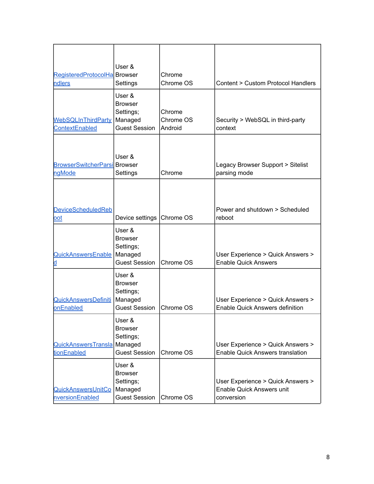| RegisteredProtocolHa Browser<br><b>ndlers</b> | User &<br>Settings                                                       | Chrome<br>Chrome OS            | Content > Custom Protocol Handlers                                                  |
|-----------------------------------------------|--------------------------------------------------------------------------|--------------------------------|-------------------------------------------------------------------------------------|
| WebSQLInThirdParty<br>ContextEnabled          | User &<br><b>Browser</b><br>Settings;<br>Managed<br><b>Guest Session</b> | Chrome<br>Chrome OS<br>Android | Security > WebSQL in third-party<br>context                                         |
| <b>BrowserSwitcherParsi Browser</b><br>ngMode | User &<br>Settings                                                       | Chrome                         | Legacy Browser Support > Sitelist<br>parsing mode                                   |
| <b>DeviceScheduledReb</b><br><u>oot</u>       | Device settings                                                          | Chrome OS                      | Power and shutdown > Scheduled<br>reboot                                            |
| QuickAnswersEnable<br><u>ld</u>               | User &<br><b>Browser</b><br>Settings;<br>Managed<br><b>Guest Session</b> | Chrome OS                      | User Experience > Quick Answers ><br><b>Enable Quick Answers</b>                    |
| QuickAnswersDefiniti<br>onEnabled             | User &<br><b>Browser</b><br>Settings;<br>Managed<br><b>Guest Session</b> | Chrome OS                      | User Experience > Quick Answers ><br><b>Enable Quick Answers definition</b>         |
| QuickAnswersTransla<br>tionEnabled            | User &<br><b>Browser</b><br>Settings;<br>Managed<br><b>Guest Session</b> | Chrome OS                      | User Experience > Quick Answers ><br><b>Enable Quick Answers translation</b>        |
| QuickAnswersUnitCo<br>nversionEnabled         | User &<br><b>Browser</b><br>Settings;<br>Managed<br><b>Guest Session</b> | Chrome OS                      | User Experience > Quick Answers ><br><b>Enable Quick Answers unit</b><br>conversion |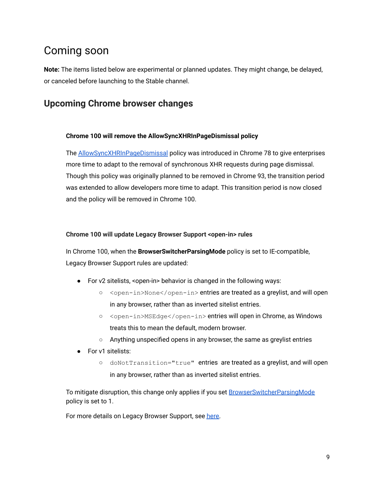# <span id="page-8-0"></span>Coming soon

**Note:** The items listed below are experimental or planned updates. They might change, be delayed, or canceled before launching to the Stable channel.

# <span id="page-8-1"></span>**Upcoming Chrome browser changes**

# **Chrome 100 will remove the AllowSyncXHRInPageDismissal policy**

The [AllowSyncXHRInPageDismissal](https://chromeenterprise.google/policies/#AllowSyncXHRInPageDismissal) policy was introduced in Chrome 78 to give enterprises more time to adapt to the removal of synchronous XHR requests during page dismissal. Though this policy was originally planned to be removed in Chrome 93, the transition period was extended to allow developers more time to adapt. This transition period is now closed and the policy will be removed in Chrome 100.

# **Chrome 100 will update Legacy Browser Support <open-in> rules**

In Chrome 100, when the **BrowserSwitcherParsingMode** policy is set to IE-compatible, Legacy Browser Support rules are updated:

- For v2 sitelists, <open-in> behavior is changed in the following ways:
	- <open-in>None</open-in> entries are treated as a greylist, and will open in any browser, rather than as inverted sitelist entries.
	- <open-in>MSEdge</open-in> entries will open in Chrome, as Windows treats this to mean the default, modern browser.
	- Anything unspecified opens in any browser, the same as greylist entries
- For v1 sitelists:
	- doNotTransition="true" entries are treated as a greylist, and will open in any browser, rather than as inverted sitelist entries.

To mitigate disruption, this change only applies if you set **[BrowserSwitcherParsingMode](https://chromeenterprise.google/policies/#BrowserSwitcherParsingMode)** policy is set to 1.

For more details on Legacy Browser Support, see [here.](https://support.google.com/chrome/a/answer/9269998)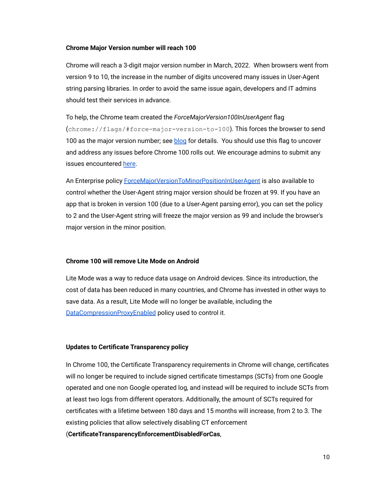#### **Chrome Major Version number will reach 100**

Chrome will reach a 3-digit major version number in March, 2022. When browsers went from version 9 to 10, the increase in the number of digits uncovered many issues in User-Agent string parsing libraries. In order to avoid the same issue again, developers and IT admins should test their services in advance.

To help, the Chrome team created the *ForceMajorVersion100InUserAgent* flag (chrome://flags/#force-major-version-to-100). This forces the browser to send 100 as the major version number; see [blog](https://developer.chrome.com/blog/force-major-version-to-100/) for details. You should use this flag to uncover and address any issues before Chrome 100 rolls out. We encourage admins to submit any issues encountered [here](https://webcompat.com/issues/new?label=version100).

An Enterprise policy [ForceMajorVersionToMinorPositionInUserAgent](https://chromeenterprise.google/policies/#ForceMajorVersionToMinorPositionInUserAgent) is also available to control whether the User-Agent string major version should be frozen at 99. If you have an app that is broken in version 100 (due to a User-Agent parsing error), you can set the policy to 2 and the User-Agent string will freeze the major version as 99 and include the browser's major version in the minor position.

#### **Chrome 100 will remove Lite Mode on Android**

Lite Mode was a way to reduce data usage on Android devices. Since its introduction, the cost of data has been reduced in many countries, and Chrome has invested in other ways to save data. As a result, Lite Mode will no longer be available, including the [DataCompressionProxyEnabled](https://chromeenterprise.google/policies/#DataCompressionProxyEnabled) policy used to control it.

#### **Updates to Certificate Transparency policy**

In Chrome 100, the Certificate Transparency requirements in Chrome will change, certificates will no longer be required to include signed certificate timestamps (SCTs) from one Google operated and one non Google operated log, and instead will be required to include SCTs from at least two logs from different operators. Additionally, the amount of SCTs required for certificates with a lifetime between 180 days and 15 months will increase, from 2 to 3. The existing policies that allow selectively disabling CT enforcement (**CertificateTransparencyEnforcementDisabledForCas**,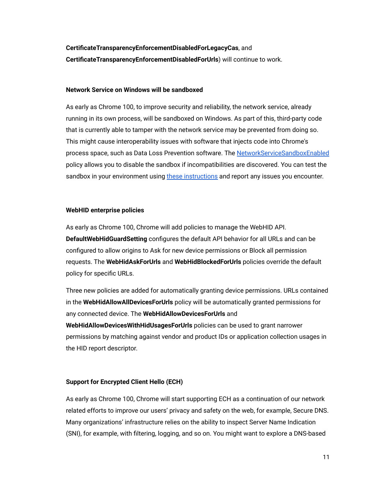**CertificateTransparencyEnforcementDisabledForLegacyCas**, and **CertificateTransparencyEnforcementDisabledForUrls**) will continue to work.

#### **Network Service on Windows will be sandboxed**

As early as Chrome 100, to improve security and reliability, the network service, already running in its own process, will be sandboxed on Windows. As part of this, third-party code that is currently able to tamper with the network service may be prevented from doing so. This might cause interoperability issues with software that injects code into Chrome's process space, such as Data Loss Prevention software. The [NetworkServiceSandboxEnabled](https://chromeenterprise.google/policies/#NetworkServiceSandboxEnabled) policy allows you to disable the sandbox if incompatibilities are discovered. You can test the sandbox in your environment using [these instructions](https://docs.google.com/document/d/1Bk3Z8CUQucd8FP6ISKkT3Q9YYuP43574VIO_kyAISBU/view) and report any issues you encounter.

### **WebHID enterprise policies**

As early as Chrome 100, Chrome will add policies to manage the WebHID API. **DefaultWebHidGuardSetting** configures the default API behavior for all URLs and can be configured to allow origins to Ask for new device permissions or Block all permission requests. The **WebHidAskForUrls** and **WebHidBlockedForUrls** policies override the default policy for specific URLs.

Three new policies are added for automatically granting device permissions. URLs contained in the **WebHidAllowAllDevicesForUrls** policy will be automatically granted permissions for any connected device. The **WebHidAllowDevicesForUrls** and **WebHidAllowDevicesWithHidUsagesForUrls** policies can be used to grant narrower permissions by matching against vendor and product IDs or application collection usages in the HID report descriptor.

# **Support for Encrypted Client Hello (ECH)**

As early as Chrome 100, Chrome will start supporting ECH as a continuation of our network related efforts to improve our users' privacy and safety on the web, for example, Secure DNS. Many organizations' infrastructure relies on the ability to inspect Server Name Indication (SNI), for example, with filtering, logging, and so on. You might want to explore a DNS-based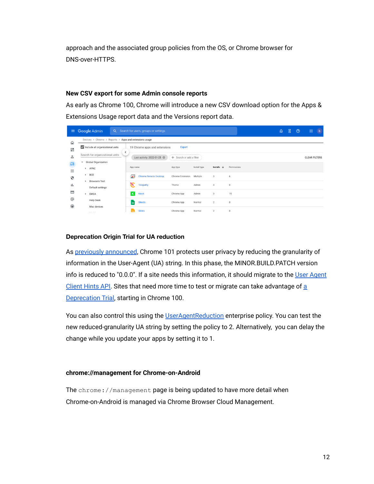approach and the associated group policies from the OS, or Chrome browser for DNS-over-HTTPS.

## **New CSV export for some Admin console reports**

As early as Chrome 100, Chrome will introduce a new CSV download option for the Apps & Extensions Usage report data and the Versions report data.

| $\equiv$   |                                          | Google Admin                                           |                         | Q Search for users, groups or settings |                          |              |                          |             | ۵ | 8 | $\odot$ | :                    | $\overline{b}$ |
|------------|------------------------------------------|--------------------------------------------------------|-------------------------|----------------------------------------|--------------------------|--------------|--------------------------|-------------|---|---|---------|----------------------|----------------|
| ⋒          |                                          | Devices > Chrome > Reports > Apps and extensions usage |                         |                                        |                          |              |                          |             |   |   |         |                      |                |
| 멺          |                                          | Include all organizational units                       |                         | 19 Chrome apps and extensions          | Export                   |              |                          |             |   |   |         |                      |                |
| ക          |                                          | Search for organizational units                        | ≺                       | Last activity: 2022-01-25              | + Search or add a filter |              |                          |             |   |   |         | <b>CLEAR FILTERS</b> |                |
| $\Box$     | $\overline{\phantom{a}}$<br>$\mathbf{r}$ | Global Organization<br>APAC                            | App name                |                                        | App type                 | Install type | Installs<br>$\downarrow$ | Permissions |   |   |         |                      |                |
| ₩<br>⊕     | $\mathbf{r}$                             | <b>BCE</b>                                             | ≂                       | <b>Chrome Remote Desktop</b>           | Chrome Extension         | Multiple     | 3                        | 6           |   |   |         |                      |                |
| ıl.        | $\mathbf{r}$                             | <b>Browsers Test</b><br>Default settings               | ᠷ                       | <b>Telepathy</b>                       | Theme                    | Admin        | 3                        | $\theta$    |   |   |         |                      |                |
| 目          | $\mathbf{r}$                             | <b>EMEA</b>                                            | $\overline{\mathbf{K}}$ | Kiosk                                  | Chrome App               | Admin        | 3                        | 15          |   |   |         |                      |                |
| @          |                                          | <b>Help Desk</b>                                       |                         | <b>Sheets</b>                          | Chrome App               | Normal       | $\overline{2}$           | $\circ$     |   |   |         |                      |                |
| $\bigcirc$ |                                          | Mac devices<br>$- - - - - - -$                         |                         | <b>Slides</b>                          | Chrome App               | Normal       | $\overline{2}$           | $\mathbb O$ |   |   |         |                      |                |

# **Deprecation Origin Trial for UA reduction**

As [previously announced](https://blog.chromium.org/2021/09/user-agent-reduction-origin-trial-and-dates.html), Chrome 101 protects user privacy by reducing the granularity of information in the User-Agent (UA) string. In this phase, the MINOR.BUILD.PATCH version info is reduced to "0.0.0". If a site needs this information, it should migrate to the [User Agent](https://web.dev/migrate-to-ua-ch/) [Client Hints API.](https://web.dev/migrate-to-ua-ch/) Sites that need more time to test or migrate can take advantage of [a](https://groups.google.com/a/chromium.org/g/blink-dev/c/-2OW78CB1-A/m/N0lz8F0qAQAJ) **[Deprecation Trial](https://groups.google.com/a/chromium.org/g/blink-dev/c/-2OW78CB1-A/m/N0lz8F0qAQAJ), starting in Chrome 100.** 

You can also control this using the [UserAgentReduction](https://chromeenterprise.google/policies/#UserAgentReduction) enterprise policy. You can test the new reduced-granularity UA string by setting the policy to 2. Alternatively, you can delay the change while you update your apps by setting it to 1.

# **chrome://management for Chrome-on-Android**

The chrome://management page is being updated to have more detail when Chrome-on-Android is managed via Chrome Browser Cloud Management.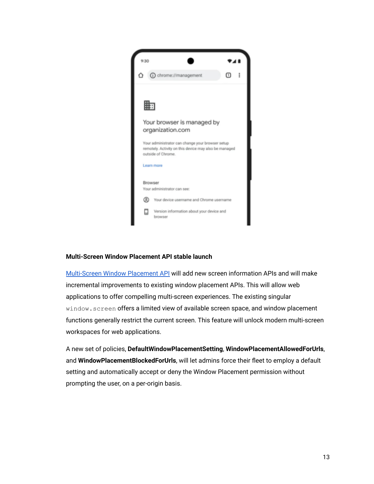

### **Multi-Screen Window Placement API stable launch**

[Multi-Screen Window Placement API](https://web.dev/multi-screen-window-placement/) will add new screen information APIs and will make incremental improvements to existing window placement APIs. This will allow web applications to offer compelling multi-screen experiences. The existing singular window.screen offers a limited view of available screen space, and window placement functions generally restrict the current screen. This feature will unlock modern multi-screen workspaces for web applications.

A new set of policies, **DefaultWindowPlacementSetting**, **WindowPlacementAllowedForUrls**, and **WindowPlacementBlockedForUrls**, will let admins force their fleet to employ a default setting and automatically accept or deny the Window Placement permission without prompting the user, on a per-origin basis.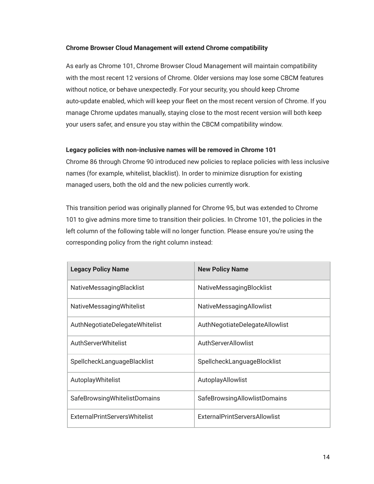## **Chrome Browser Cloud Management will extend Chrome compatibility**

As early as Chrome 101, Chrome Browser Cloud Management will maintain compatibility with the most recent 12 versions of Chrome. Older versions may lose some CBCM features without notice, or behave unexpectedly. For your security, you should keep Chrome auto-update enabled, which will keep your fleet on the most recent version of Chrome. If you manage Chrome updates manually, staying close to the most recent version will both keep your users safer, and ensure you stay within the CBCM compatibility window.

## **Legacy policies with non-inclusive names will be removed in Chrome 101**

Chrome 86 through Chrome 90 introduced new policies to replace policies with less inclusive names (for example, whitelist, blacklist). In order to minimize disruption for existing managed users, both the old and the new policies currently work.

This transition period was originally planned for Chrome 95, but was extended to Chrome 101 to give admins more time to transition their policies. In Chrome 101, the policies in the left column of the following table will no longer function. Please ensure you're using the corresponding policy from the right column instead:

| <b>Legacy Policy Name</b>       | <b>New Policy Name</b>               |
|---------------------------------|--------------------------------------|
| <b>NativeMessagingBlacklist</b> | <b>NativeMessagingBlocklist</b>      |
| NativeMessagingWhitelist        | <b>NativeMessagingAllowlist</b>      |
| AuthNegotiateDelegateWhitelist  | AuthNegotiateDelegateAllowlist       |
| AuthServerWhitelist             | AuthServerAllowlist                  |
| SpellcheckLanguageBlacklist     | SpellcheckLanguageBlocklist          |
| AutoplayWhitelist               | AutoplayAllowlist                    |
| SafeBrowsingWhitelistDomains    | <b>SafeBrowsingAllowlistDomains</b>  |
| ExternalPrintServersWhitelist   | <b>ExternalPrintServersAllowlist</b> |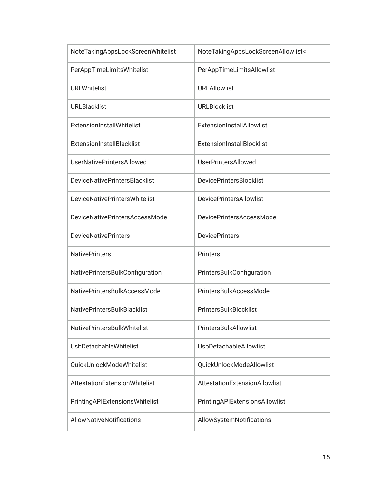| NoteTakingAppsLockScreenWhitelist    | NoteTakingAppsLockScreenAllowlist< |
|--------------------------------------|------------------------------------|
| PerAppTimeLimitsWhitelist            | PerAppTimeLimitsAllowlist          |
| <b>URLWhitelist</b>                  | <b>URLAllowlist</b>                |
| <b>URLBlacklist</b>                  | <b>URLBlocklist</b>                |
| ExtensionInstallWhitelist            | ExtensionInstallAllowlist          |
| <b>ExtensionInstallBlacklist</b>     | ExtensionInstallBlocklist          |
| <b>UserNativePrintersAllowed</b>     | <b>UserPrintersAllowed</b>         |
| <b>DeviceNativePrintersBlacklist</b> | <b>DevicePrintersBlocklist</b>     |
| <b>DeviceNativePrintersWhitelist</b> | <b>DevicePrintersAllowlist</b>     |
| DeviceNativePrintersAccessMode       | <b>DevicePrintersAccessMode</b>    |
| <b>DeviceNativePrinters</b>          | <b>DevicePrinters</b>              |
| <b>NativePrinters</b>                | <b>Printers</b>                    |
| NativePrintersBulkConfiguration      | PrintersBulkConfiguration          |
| NativePrintersBulkAccessMode         | PrintersBulkAccessMode             |
| <b>NativePrintersBulkBlacklist</b>   | PrintersBulkBlocklist              |
| <b>NativePrintersBulkWhitelist</b>   | PrintersBulkAllowlist              |
| <b>UsbDetachableWhitelist</b>        | <b>UsbDetachableAllowlist</b>      |
| QuickUnlockModeWhitelist             | QuickUnlockModeAllowlist           |
| <b>AttestationExtensionWhitelist</b> | AttestationExtensionAllowlist      |
| PrintingAPIExtensionsWhitelist       | PrintingAPIExtensionsAllowlist     |
| AllowNativeNotifications             | AllowSystemNotifications           |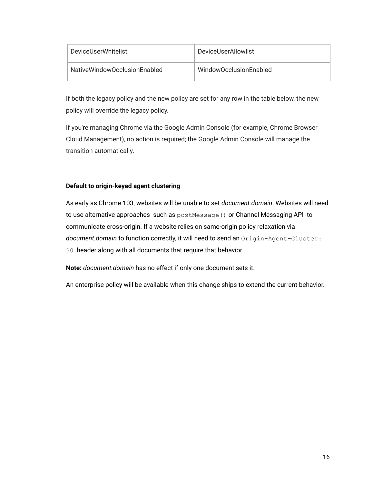| DeviceUserWhitelist          | DeviceUserAllowlist    |
|------------------------------|------------------------|
| NativeWindowOcclusionEnabled | WindowOcclusionEnabled |

If both the legacy policy and the new policy are set for any row in the table below, the new policy will override the legacy policy.

If you're managing Chrome via the Google Admin Console (for example, Chrome Browser Cloud Management), no action is required; the Google Admin Console will manage the transition automatically.

# **Default to origin-keyed agent clustering**

As early as Chrome 103, websites will be unable to set *document.domain*. Websites will need to use alternative approaches such as  $postMessage()$  or Channel Messaging API to communicate cross-origin. If a website relies on same-origin policy relaxation via *document.domain* to function correctly, it will need to send an Origin-Agent-Cluster: ?0 header along with all documents that require that behavior.

**Note:** *document.domain* has no effect if only one document sets it.

An enterprise policy will be available when this change ships to extend the current behavior.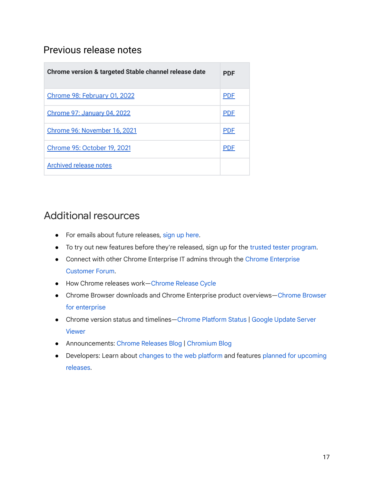# <span id="page-16-0"></span>Previous release notes

| Chrome version & targeted Stable channel release date | PDF        |
|-------------------------------------------------------|------------|
| Chrome 98: February 01, 2022                          | <b>PDF</b> |
| Chrome 97: January 04, 2022                           | <b>PDF</b> |
| Chrome 96: November 16, 2021                          | <b>PDF</b> |
| <b>Chrome 95: October 19, 2021</b>                    | <b>PDF</b> |
| <b>Archived release notes</b>                         |            |

# <span id="page-16-1"></span>Additional resources

- For emails about future releases, sign up [here.](https://inthecloud.withgoogle.com/chrome-release-notes/opt-in.html)
- To try out new features before they're released, sign up for the trusted tester [program](https://inthecloud.withgoogle.com/trusted-testers/sign-up.html).
- Connect with other Chrome [Enterprise](https://support-content-draft.corp.google.com/chrome/a/answer/9267808) IT admins through the Chrome Enterprise [Customer](https://support-content-draft.corp.google.com/chrome/a/answer/9267808) Forum.
- How Chrome releases work[—Chrome](https://chromium.googlesource.com/chromium/src/+/master/docs/process/release_cycle.md) Release Cycle
- Chrome [Browser](https://chrome.com/enterprise) downloads and Chrome Enterprise product overviews-Chrome Browser for [enterprise](https://chrome.com/enterprise)
- Chrome version status and timelines—Chrome [Platform](https://www.chromestatus.com/features/schedule) Status | Google [Update](https://omahaproxy.appspot.com/) Server [Viewer](https://omahaproxy.appspot.com/)
- Announcements: Chrome [Releases](https://chromereleases.googleblog.com/) Blog | [Chromium](https://blog.chromium.org/) Blog
- Developers: Learn about [changes](https://blog.chromium.org/search/label/beta) to the web platform and features planned for [upcoming](https://www.chromestatus.com/features/schedule) [releases.](https://www.chromestatus.com/features/schedule)